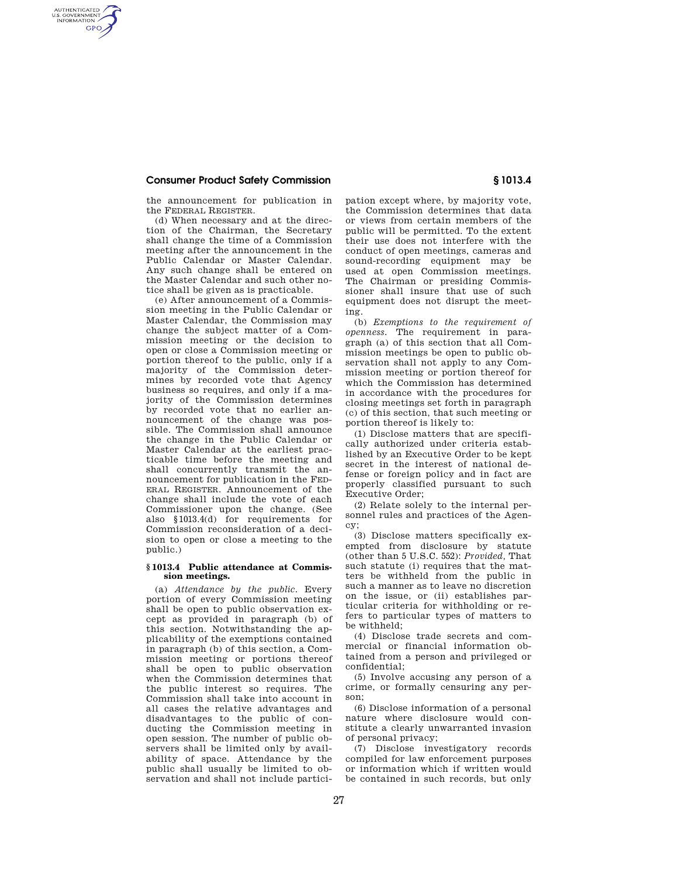## **Consumer Product Safety Commission § 1013.4**

AUTHENTICATED<br>U.S. GOVERNMENT<br>INFORMATION **GPO** 

the announcement for publication in the FEDERAL REGISTER.

(d) When necessary and at the direction of the Chairman, the Secretary shall change the time of a Commission meeting after the announcement in the Public Calendar or Master Calendar. Any such change shall be entered on the Master Calendar and such other notice shall be given as is practicable.

(e) After announcement of a Commission meeting in the Public Calendar or Master Calendar, the Commission may change the subject matter of a Commission meeting or the decision to open or close a Commission meeting or portion thereof to the public, only if a majority of the Commission determines by recorded vote that Agency business so requires, and only if a majority of the Commission determines by recorded vote that no earlier announcement of the change was possible. The Commission shall announce the change in the Public Calendar or Master Calendar at the earliest practicable time before the meeting and shall concurrently transmit the announcement for publication in the FED-ERAL REGISTER. Announcement of the change shall include the vote of each Commissioner upon the change. (See also §1013.4(d) for requirements for Commission reconsideration of a decision to open or close a meeting to the public.)

#### **§ 1013.4 Public attendance at Commission meetings.**

(a) *Attendance by the public.* Every portion of every Commission meeting shall be open to public observation except as provided in paragraph (b) of this section. Notwithstanding the applicability of the exemptions contained in paragraph (b) of this section, a Commission meeting or portions thereof shall be open to public observation when the Commission determines that the public interest so requires. The Commission shall take into account in all cases the relative advantages and disadvantages to the public of conducting the Commission meeting in open session. The number of public observers shall be limited only by availability of space. Attendance by the public shall usually be limited to observation and shall not include participation except where, by majority vote, the Commission determines that data or views from certain members of the public will be permitted. To the extent their use does not interfere with the conduct of open meetings, cameras and sound-recording equipment may be used at open Commission meetings. The Chairman or presiding Commissioner shall insure that use of such equipment does not disrupt the meeting.

(b) *Exemptions to the requirement of openness.* The requirement in paragraph (a) of this section that all Commission meetings be open to public observation shall not apply to any Commission meeting or portion thereof for which the Commission has determined in accordance with the procedures for closing meetings set forth in paragraph (c) of this section, that such meeting or portion thereof is likely to:

(1) Disclose matters that are specifically authorized under criteria established by an Executive Order to be kept secret in the interest of national defense or foreign policy and in fact are properly classified pursuant to such Executive Order;

(2) Relate solely to the internal personnel rules and practices of the Agency;

(3) Disclose matters specifically exempted from disclosure by statute (other than 5 U.S.C. 552): *Provided,* That such statute (i) requires that the matters be withheld from the public in such a manner as to leave no discretion on the issue, or (ii) establishes particular criteria for withholding or refers to particular types of matters to be withheld;

(4) Disclose trade secrets and commercial or financial information obtained from a person and privileged or confidential;

(5) Involve accusing any person of a crime, or formally censuring any person;

(6) Disclose information of a personal nature where disclosure would constitute a clearly unwarranted invasion of personal privacy;

(7) Disclose investigatory records compiled for law enforcement purposes or information which if written would be contained in such records, but only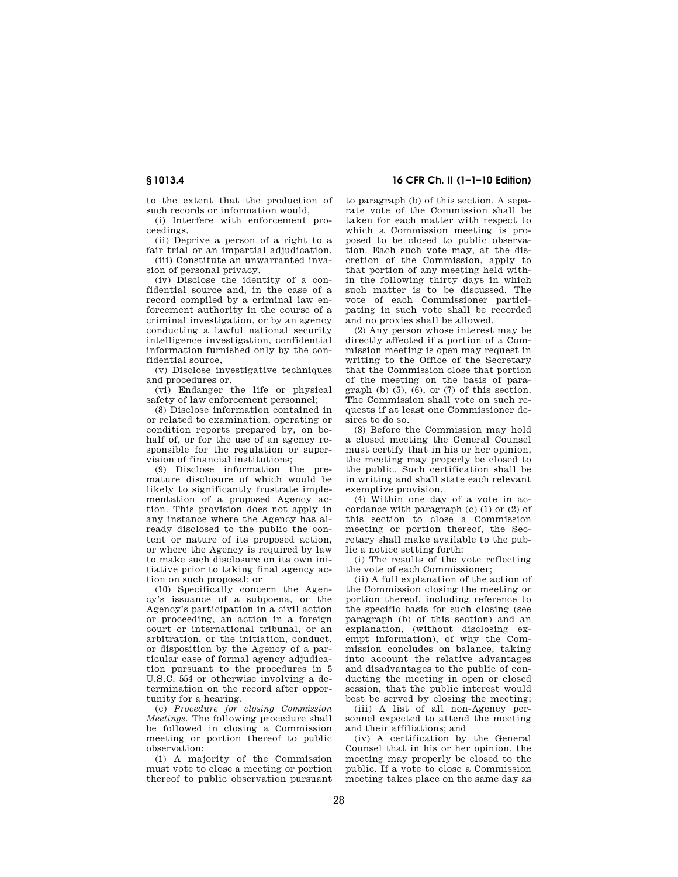to the extent that the production of such records or information would,

(i) Interfere with enforcement proceedings,

(ii) Deprive a person of a right to a fair trial or an impartial adjudication,

(iii) Constitute an unwarranted invasion of personal privacy,

(iv) Disclose the identity of a confidential source and, in the case of a record compiled by a criminal law enforcement authority in the course of a criminal investigation, or by an agency conducting a lawful national security intelligence investigation, confidential information furnished only by the confidential source,

(v) Disclose investigative techniques and procedures or,

(vi) Endanger the life or physical safety of law enforcement personnel;

(8) Disclose information contained in or related to examination, operating or condition reports prepared by, on behalf of, or for the use of an agency responsible for the regulation or supervision of financial institutions;

(9) Disclose information the premature disclosure of which would be likely to significantly frustrate implementation of a proposed Agency action. This provision does not apply in any instance where the Agency has already disclosed to the public the content or nature of its proposed action, or where the Agency is required by law to make such disclosure on its own initiative prior to taking final agency action on such proposal; or

(10) Specifically concern the Agency's issuance of a subpoena, or the Agency's participation in a civil action or proceeding, an action in a foreign court or international tribunal, or an arbitration, or the initiation, conduct, or disposition by the Agency of a particular case of formal agency adjudication pursuant to the procedures in 5 U.S.C. 554 or otherwise involving a determination on the record after opportunity for a hearing.

(c) *Procedure for closing Commission Meetings.* The following procedure shall be followed in closing a Commission meeting or portion thereof to public observation:

(1) A majority of the Commission must vote to close a meeting or portion thereof to public observation pursuant

**§ 1013.4 16 CFR Ch. II (1–1–10 Edition)** 

to paragraph (b) of this section. A separate vote of the Commission shall be taken for each matter with respect to which a Commission meeting is proposed to be closed to public observation. Each such vote may, at the discretion of the Commission, apply to that portion of any meeting held within the following thirty days in which such matter is to be discussed. The vote of each Commissioner participating in such vote shall be recorded and no proxies shall be allowed.

(2) Any person whose interest may be directly affected if a portion of a Commission meeting is open may request in writing to the Office of the Secretary that the Commission close that portion of the meeting on the basis of paragraph  $(b)$   $(5)$ ,  $(6)$ , or  $(7)$  of this section. The Commission shall vote on such requests if at least one Commissioner desires to do so.

(3) Before the Commission may hold a closed meeting the General Counsel must certify that in his or her opinion, the meeting may properly be closed to the public. Such certification shall be in writing and shall state each relevant exemptive provision.

(4) Within one day of a vote in accordance with paragraph (c) (1) or (2) of this section to close a Commission meeting or portion thereof, the Secretary shall make available to the public a notice setting forth:

(i) The results of the vote reflecting the vote of each Commissioner;

(ii) A full explanation of the action of the Commission closing the meeting or portion thereof, including reference to the specific basis for such closing (see paragraph (b) of this section) and an explanation, (without disclosing exempt information), of why the Commission concludes on balance, taking into account the relative advantages and disadvantages to the public of conducting the meeting in open or closed session, that the public interest would best be served by closing the meeting;

(iii) A list of all non-Agency personnel expected to attend the meeting and their affiliations; and

(iv) A certification by the General Counsel that in his or her opinion, the meeting may properly be closed to the public. If a vote to close a Commission meeting takes place on the same day as